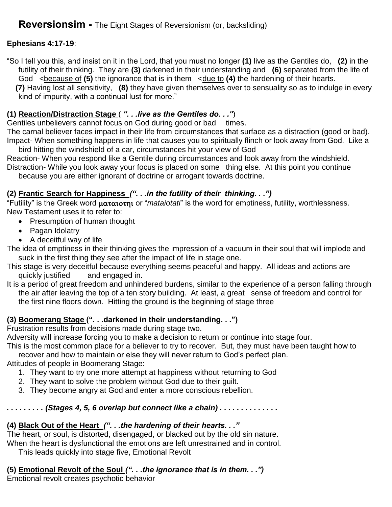### **Ephesians 4:17-19**:

"So I tell you this, and insist on it in the Lord, that you must no longer **(1)** live as the Gentiles do, **(2)** in the futility of their thinking. They are **(3)** darkened in their understanding and **(6)** separated from the life of God <because of (5) the ignorance that is in them <due to (4) the hardening of their hearts.

 **(7)** Having lost all sensitivity, **(8)** they have given themselves over to sensuality so as to indulge in every kind of impurity, with a continual lust for more."

### **(1) Reaction/Distraction Stage** ( *". . .live as the Gentiles do. . ."*)

Gentiles unbelievers cannot focus on God during good or bad times.

The carnal believer faces impact in their life from circumstances that surface as a distraction (good or bad). Impact- When something happens in life that causes you to spiritually flinch or look away from God. Like a

bird hitting the windshield of a car, circumstances hit your view of God Reaction- When you respond like a Gentile during circumstances and look away from the windshield. Distraction- While you look away your focus is placed on some thing else. At this point you continue

because you are either ignorant of doctrine or arrogant towards doctrine.

### **(2) Frantic Search for Happiness** *(". . .in the futility of their thinking. . .")*

"Futility" is the Greek word ματαιοτηι or "*mataiotati*" is the word for emptiness, futility, worthlessness. New Testament uses it to refer to:

- Presumption of human thought
- Pagan Idolatry
- A deceitful way of life

The idea of emptiness in their thinking gives the impression of a vacuum in their soul that will implode and suck in the first thing they see after the impact of life in stage one.

- This stage is very deceitful because everything seems peaceful and happy. All ideas and actions are quickly justified and engaged in.
- It is a period of great freedom and unhindered burdens, similar to the experience of a person falling through the air after leaving the top of a ten story building. At least, a great sense of freedom and control for the first nine floors down. Hitting the ground is the beginning of stage three

#### **(3) Boomerang Stage (". . .darkened in their understanding. . .")**

Frustration results from decisions made during stage two.

Adversity will increase forcing you to make a decision to return or continue into stage four.

This is the most common place for a believer to try to recover. But, they must have been taught how to recover and how to maintain or else they will never return to God's perfect plan.

Attitudes of people in Boomerang Stage:

- 1. They want to try one more attempt at happiness without returning to God
- 2. They want to solve the problem without God due to their guilt.
- 3. They become angry at God and enter a more conscious rebellion.

### *. . . . . . . . . (Stages 4, 5, 6 overlap but connect like a chain) . . . . . . . . . . . . . .*

# **(4) Black Out of the Heart** *(". . .the hardening of their hearts. . ."*

The heart, or soul, is distorted, disengaged, or blacked out by the old sin nature.

When the heart is dysfunctional the emotions are left unrestrained and in control.

This leads quickly into stage five, Emotional Revolt

# **(5) Emotional Revolt of the Soul** *(". . .the ignorance that is in them. . .")*

Emotional revolt creates psychotic behavior